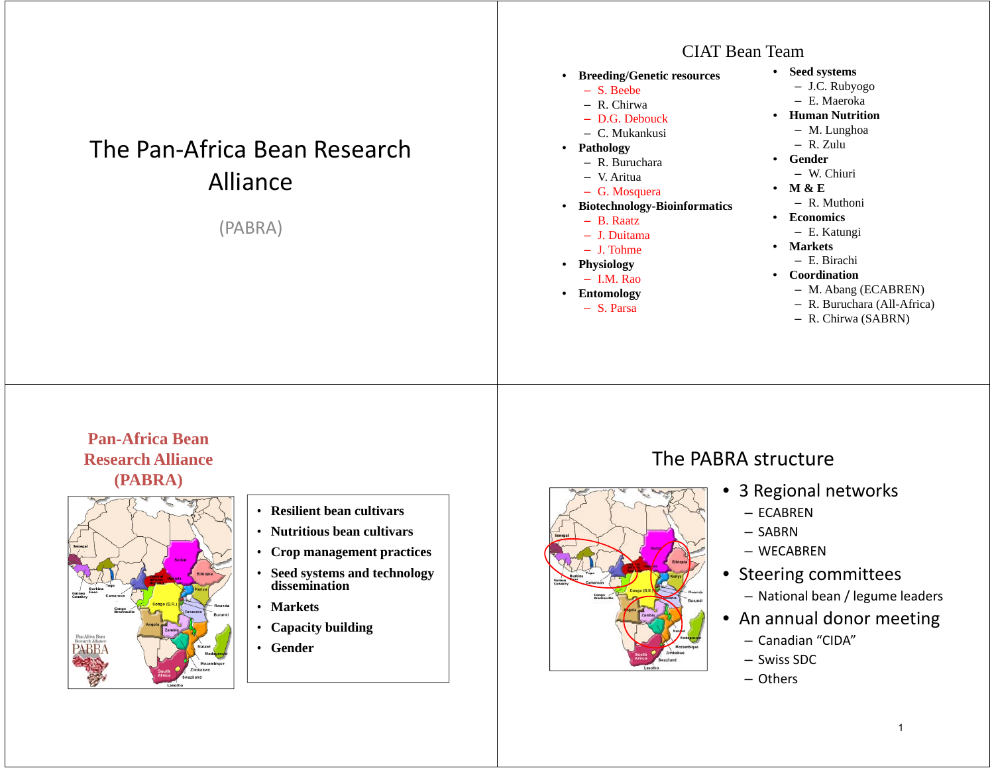# The Pan-Africa Bean Research Alliance

(PABRA)

#### CIAT Bean Team

- **Breeding/Genetic resources**
	- S. Beebe
	- R. Chirwa
	- D.G. Debouck
	- C. Mukankusi
- **Pathology**
	- R. Buruchara
	- V. Aritua
	- G. Mosquera
- **Biotechnology-Bioinformatics**
	- B. Raatz
	- J. Duitama
	- J. Tohme
- **Physiology**
- I.M. Rao
- **Entomology** – S. Parsa
- **Seed systems**
	- J.C. Rubyogo
	- E. Maeroka
- **Human Nutrition**
	- M. Lunghoa
- R. Zulu
- **Gender**
	- W. Chiuri
	- **M & E**
		- R. Muthoni
- **Economics**
	- E. Katungi
- **Markets**
	- E. Birachi
- **Coordination**
	- M. Abang (ECABREN)
	- R. Buruchara (All-Africa)
	- R. Chirwa (SABRN)

#### **Pan-Africa Bean Research Alliance (PABRA)**



- **Resilient bean cultivars**
- **Nutritious bean cultivars**
- **Crop management practices**
- **Seed systems and technology dissemination**
- **Markets**
- **Capacity building**
- **Gender**

#### The PABRA structure



- 3 Regional networks
	- ECABREN
	- SABRN
	- WECABREN
- Steering committees
	- National bean / legume leaders
- An annual donor meeting
	- Canadian "CIDA"
	- Swiss SDC
	- Others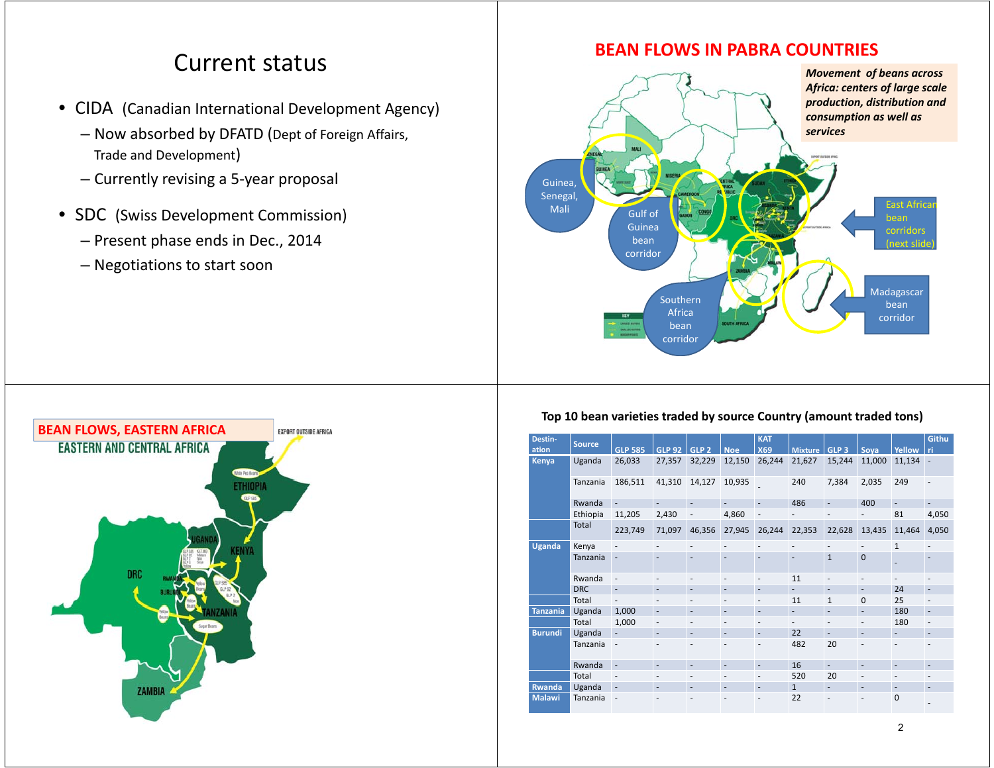## Current status

- CIDA (Canadian International Development Agency)
	- Now absorbed by DFATD (Dept of Foreign Affairs, Trade and Development)
	- Currently revising a 5-year proposal
- SDC (Swiss Development Commission)
	- Present phase ends in Dec., 2014
	- Negotiations to start soon



### **BEAN FLOWS IN PABRA COUNTRIES**



#### **Top 10 bean varieties traded by source Country (amount traded tons)**

| Destin-         | <b>Source</b> |                          |                          |                          |                          | <b>KAT</b>               |                          |                          |                          |                          | Githu                    |
|-----------------|---------------|--------------------------|--------------------------|--------------------------|--------------------------|--------------------------|--------------------------|--------------------------|--------------------------|--------------------------|--------------------------|
| ation           |               | <b>GLP 585</b>           | <b>GLP 92</b>            | GLP <sub>2</sub>         | <b>Noe</b>               | <b>X69</b>               | <b>Mixture</b>           | GLP <sub>3</sub>         | Soya                     | Yellow                   | ri                       |
| <b>Kenya</b>    | Uganda        | 26,033                   | 27,357                   | 32,229                   | 12,150                   | 26,244                   | 21,627                   | 15,244                   | 11,000                   | 11,134                   | $\overline{\phantom{a}}$ |
|                 | Tanzania      | 186,511                  | 41,310                   | 14,127                   | 10,935                   |                          | 240                      | 7,384                    | 2,035                    | 249                      | $\overline{\phantom{a}}$ |
|                 | Rwanda        | ÷.                       | $\overline{a}$           | $\overline{a}$           | $\overline{a}$           | $\overline{\phantom{a}}$ | 486                      | $\overline{\phantom{m}}$ | 400                      | $\overline{\phantom{0}}$ |                          |
|                 | Ethiopia      | 11,205                   | 2,430                    | $\overline{\phantom{a}}$ | 4,860                    | $\overline{\phantom{m}}$ |                          | $\overline{a}$           | $\overline{\phantom{0}}$ | 81                       | 4,050                    |
|                 | Total         | 223,749                  | 71,097                   | 46,356                   | 27,945                   | 26,244                   | 22,353                   | 22,628                   | 13,435                   | 11,464                   | 4,050                    |
| <b>Uganda</b>   | Kenya         | $\overline{a}$           | $\overline{\phantom{a}}$ | $\overline{\phantom{a}}$ | $\overline{\phantom{a}}$ | $\overline{\phantom{a}}$ | $\overline{\phantom{a}}$ | $\overline{\phantom{a}}$ | ٠                        | $\mathbf{1}$             | $\overline{\phantom{a}}$ |
|                 | Tanzania      | $\overline{a}$           | $\overline{a}$           | ٠                        | $\overline{a}$           | $\overline{a}$           | $\overline{a}$           | $\mathbf{1}$             | $\mathbf{0}$             |                          | ٠                        |
|                 | Rwanda        | $\overline{\phantom{a}}$ | $\overline{\phantom{a}}$ | $\overline{\phantom{a}}$ | $\overline{\phantom{a}}$ | $\overline{\phantom{a}}$ | 11                       | $\overline{\phantom{m}}$ | ٠                        | $\overline{\phantom{a}}$ | $\overline{\phantom{a}}$ |
|                 | <b>DRC</b>    | $\overline{\phantom{a}}$ | $\overline{\phantom{a}}$ | $\overline{\phantom{a}}$ | $\overline{\phantom{a}}$ | $\overline{\phantom{a}}$ | $\sim$                   | $\overline{\phantom{a}}$ | $\overline{\phantom{a}}$ | 24                       | $\overline{\phantom{a}}$ |
|                 | Total         | $\overline{\phantom{m}}$ | $\overline{\phantom{a}}$ | $\overline{\phantom{a}}$ | $\overline{\phantom{a}}$ | $\overline{\phantom{a}}$ | 11                       | $\mathbf{1}$             | $\Omega$                 | 25                       | ٠                        |
| <b>Tanzania</b> | Uganda        | 1,000                    | $\overline{\phantom{a}}$ | $\overline{\phantom{m}}$ | $\overline{\phantom{a}}$ | $\overline{\phantom{a}}$ | $\overline{\phantom{0}}$ | $\overline{a}$           | $\overline{\phantom{0}}$ | 180                      | $\overline{\phantom{a}}$ |
|                 | Total         | 1,000                    | $\overline{\phantom{a}}$ | $\overline{\phantom{a}}$ |                          | $\overline{\phantom{a}}$ |                          | $\overline{\phantom{a}}$ | $\overline{\phantom{0}}$ | 180                      | $\overline{\phantom{a}}$ |
| <b>Burundi</b>  | Uganda        | ÷,                       | $\overline{\phantom{a}}$ | $\overline{a}$           | $\overline{a}$           | $\overline{\phantom{a}}$ | 22                       | L.                       | ÷                        | $\overline{a}$           | $\overline{\phantom{a}}$ |
|                 | Tanzania      | $\overline{\phantom{m}}$ | ٠                        | ٠                        |                          | $\overline{\phantom{a}}$ | 482                      | 20                       |                          | $\overline{\phantom{a}}$ | ۰                        |
|                 | Rwanda        | $\blacksquare$           | $\overline{a}$           | $\overline{\phantom{a}}$ | $\overline{\phantom{a}}$ | $\overline{a}$           | 16                       | $\Box$                   | $\overline{\phantom{a}}$ | $\overline{\phantom{a}}$ | $\overline{\phantom{a}}$ |
|                 | Total         | $\overline{a}$           | $\overline{\phantom{a}}$ | $\overline{\phantom{a}}$ | $\overline{\phantom{a}}$ | $\overline{\phantom{a}}$ | 520                      | 20                       | $\overline{\phantom{a}}$ | $\overline{a}$           | ٠                        |
| <b>Rwanda</b>   | Uganda        | $\blacksquare$           | $\overline{\phantom{a}}$ | $\overline{\phantom{a}}$ | $\overline{\phantom{a}}$ | $\overline{\phantom{a}}$ | $\mathbf{1}$             | $\blacksquare$           | ٠                        | $\overline{\phantom{a}}$ | $\overline{\phantom{a}}$ |
| <b>Malawi</b>   | Tanzania      | $\overline{a}$           | $\overline{\phantom{a}}$ | ٠                        | ٠                        | $\overline{\phantom{a}}$ | 22                       | ٠                        | ٠                        | $\mathbf{0}$             |                          |